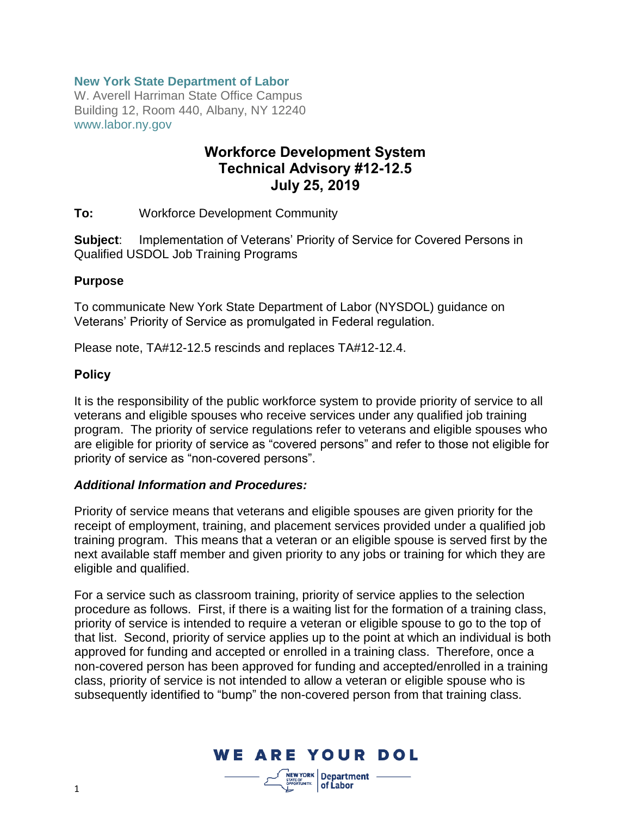## **New York State Department of Labor**

W. Averell Harriman State Office Campus Building 12, Room 440, Albany, NY 12240 www.labor.ny.gov

# **Workforce Development System Technical Advisory #12-12.5 July 25, 2019**

**To:** Workforce Development Community

**Subject**: Implementation of Veterans' Priority of Service for Covered Persons in Qualified USDOL Job Training Programs

#### **Purpose**

To communicate New York State Department of Labor (NYSDOL) guidance on Veterans' Priority of Service as promulgated in Federal regulation.

Please note, TA#12-12.5 rescinds and replaces TA#12-12.4.

#### **Policy**

It is the responsibility of the public workforce system to provide priority of service to all veterans and eligible spouses who receive services under any qualified job training program. The priority of service regulations refer to veterans and eligible spouses who are eligible for priority of service as "covered persons" and refer to those not eligible for priority of service as "non-covered persons".

#### *Additional Information and Procedures:*

Priority of service means that veterans and eligible spouses are given priority for the receipt of employment, training, and placement services provided under a qualified job training program. This means that a veteran or an eligible spouse is served first by the next available staff member and given priority to any jobs or training for which they are eligible and qualified.

For a service such as classroom training, priority of service applies to the selection procedure as follows. First, if there is a waiting list for the formation of a training class, priority of service is intended to require a veteran or eligible spouse to go to the top of that list. Second, priority of service applies up to the point at which an individual is both approved for funding and accepted or enrolled in a training class. Therefore, once a non-covered person has been approved for funding and accepted/enrolled in a training class, priority of service is not intended to allow a veteran or eligible spouse who is subsequently identified to "bump" the non-covered person from that training class.



of Labor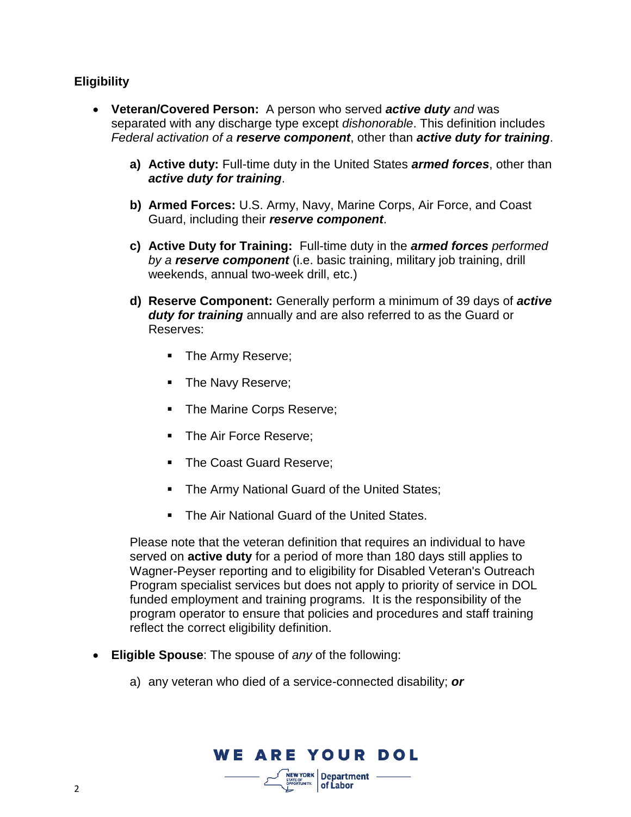# **Eligibility**

- **Veteran/Covered Person:** A person who served *active duty and* was separated with any discharge type except *dishonorable*. This definition includes *Federal activation of a reserve component*, other than *active duty for training*.
	- **a) Active duty:** Full-time duty in the United States *armed forces*, other than *active duty for training*.
	- **b) Armed Forces:** U.S. Army, Navy, Marine Corps, Air Force, and Coast Guard, including their *reserve component*.
	- **c) Active Duty for Training:** Full-time duty in the *armed forces performed by a reserve component* (i.e. basic training, military job training, drill weekends, annual two-week drill, etc.)
	- **d) Reserve Component:** Generally perform a minimum of 39 days of *active duty for training* annually and are also referred to as the Guard or Reserves:
		- The Army Reserve;
		- The Navy Reserve;
		- The Marine Corps Reserve;
		- The Air Force Reserve;
		- The Coast Guard Reserve;
		- The Army National Guard of the United States;
		- The Air National Guard of the United States.

Please note that the veteran definition that requires an individual to have served on **active duty** for a period of more than 180 days still applies to Wagner-Peyser reporting and to eligibility for Disabled Veteran's Outreach Program specialist services but does not apply to priority of service in DOL funded employment and training programs. It is the responsibility of the program operator to ensure that policies and procedures and staff training reflect the correct eligibility definition.

- **Eligible Spouse**: The spouse of *any* of the following:
	- a) any veteran who died of a service-connected disability; *or*

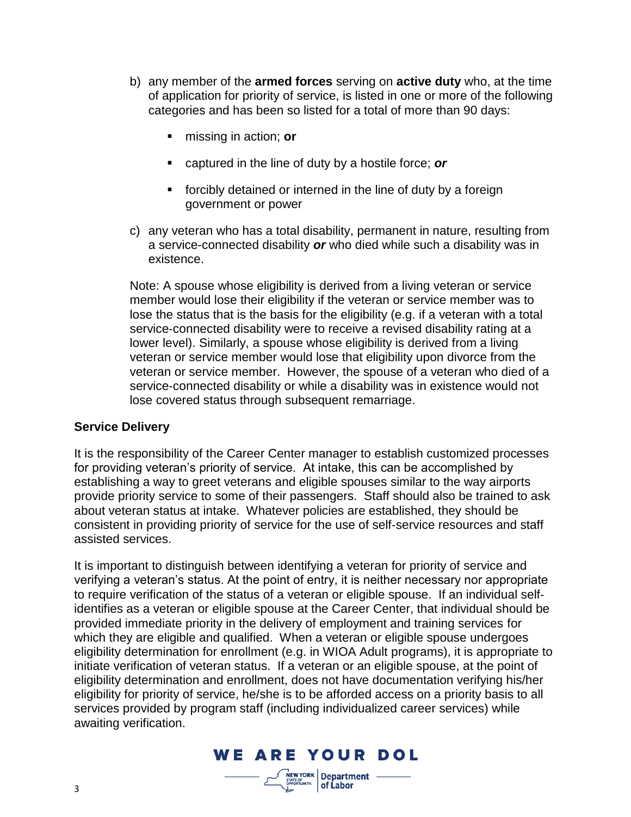- b) any member of the **armed forces** serving on **active duty** who, at the time of application for priority of service, is listed in one or more of the following categories and has been so listed for a total of more than 90 days:
	- missing in action; **or**
	- captured in the line of duty by a hostile force; **or**
	- forcibly detained or interned in the line of duty by a foreign government or power
- c) any veteran who has a total disability, permanent in nature, resulting from a service-connected disability *or* who died while such a disability was in existence.

Note: A spouse whose eligibility is derived from a living veteran or service member would lose their eligibility if the veteran or service member was to lose the status that is the basis for the eligibility (e.g. if a veteran with a total service-connected disability were to receive a revised disability rating at a lower level). Similarly, a spouse whose eligibility is derived from a living veteran or service member would lose that eligibility upon divorce from the veteran or service member. However, the spouse of a veteran who died of a service-connected disability or while a disability was in existence would not lose covered status through subsequent remarriage.

## **Service Delivery**

It is the responsibility of the Career Center manager to establish customized processes for providing veteran's priority of service. At intake, this can be accomplished by establishing a way to greet veterans and eligible spouses similar to the way airports provide priority service to some of their passengers. Staff should also be trained to ask about veteran status at intake. Whatever policies are established, they should be consistent in providing priority of service for the use of self‐service resources and staff assisted services.

It is important to distinguish between identifying a veteran for priority of service and verifying a veteran's status. At the point of entry, it is neither necessary nor appropriate to require verification of the status of a veteran or eligible spouse. If an individual self‐ identifies as a veteran or eligible spouse at the Career Center, that individual should be provided immediate priority in the delivery of employment and training services for which they are eligible and qualified. When a veteran or eligible spouse undergoes eligibility determination for enrollment (e.g. in WIOA Adult programs), it is appropriate to initiate verification of veteran status. If a veteran or an eligible spouse, at the point of eligibility determination and enrollment, does not have documentation verifying his/her eligibility for priority of service, he/she is to be afforded access on a priority basis to all services provided by program staff (including individualized career services) while awaiting verification.

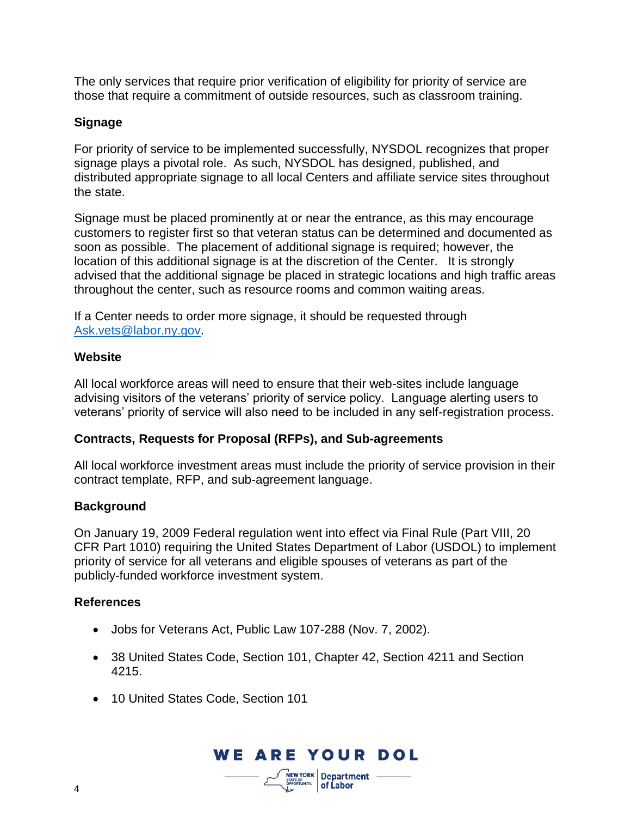The only services that require prior verification of eligibility for priority of service are those that require a commitment of outside resources, such as classroom training.

# **Signage**

For priority of service to be implemented successfully, NYSDOL recognizes that proper signage plays a pivotal role. As such, NYSDOL has designed, published, and distributed appropriate signage to all local Centers and affiliate service sites throughout the state.

Signage must be placed prominently at or near the entrance, as this may encourage customers to register first so that veteran status can be determined and documented as soon as possible. The placement of additional signage is required; however, the location of this additional signage is at the discretion of the Center. It is strongly advised that the additional signage be placed in strategic locations and high traffic areas throughout the center, such as resource rooms and common waiting areas.

If a Center needs to order more signage, it should be requested through [Ask.vets@labor.ny.gov.](mailto:Ask.vets@labor.ny.gov)

## **Website**

All local workforce areas will need to ensure that their web-sites include language advising visitors of the veterans' priority of service policy. Language alerting users to veterans' priority of service will also need to be included in any self-registration process.

# **Contracts, Requests for Proposal (RFPs), and Sub-agreements**

All local workforce investment areas must include the priority of service provision in their contract template, RFP, and sub-agreement language.

# **Background**

On January 19, 2009 Federal regulation went into effect via Final Rule (Part VIII, 20 CFR Part 1010) requiring the United States Department of Labor (USDOL) to implement priority of service for all veterans and eligible spouses of veterans as part of the publicly-funded workforce investment system.

## **References**

- Jobs for Veterans Act, Public Law 107-288 (Nov. 7, 2002).
- 38 United States Code, Section 101, Chapter 42, Section 4211 and Section 4215.
- 10 United States Code, Section 101